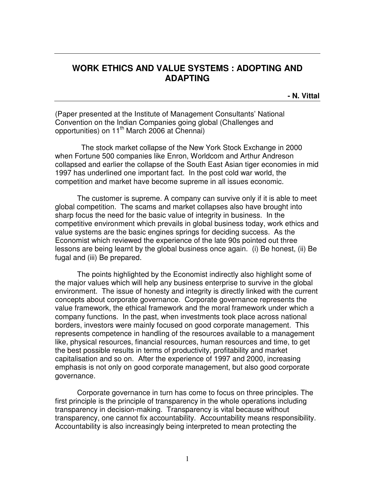## **WORK ETHICS AND VALUE SYSTEMS : ADOPTING AND ADAPTING**

**- N. Vittal** 

(Paper presented at the Institute of Management Consultants' National Convention on the Indian Companies going global (Challenges and opportunities) on 11<sup>th</sup> March 2006 at Chennai)

 The stock market collapse of the New York Stock Exchange in 2000 when Fortune 500 companies like Enron, Worldcom and Arthur Andreson collapsed and earlier the collapse of the South East Asian tiger economies in mid 1997 has underlined one important fact. In the post cold war world, the competition and market have become supreme in all issues economic.

The customer is supreme. A company can survive only if it is able to meet global competition. The scams and market collapses also have brought into sharp focus the need for the basic value of integrity in business. In the competitive environment which prevails in global business today, work ethics and value systems are the basic engines springs for deciding success. As the Economist which reviewed the experience of the late 90s pointed out three lessons are being learnt by the global business once again. (i) Be honest, (ii) Be fugal and (iii) Be prepared.

The points highlighted by the Economist indirectly also highlight some of the major values which will help any business enterprise to survive in the global environment. The issue of honesty and integrity is directly linked with the current concepts about corporate governance. Corporate governance represents the value framework, the ethical framework and the moral framework under which a company functions. In the past, when investments took place across national borders, investors were mainly focused on good corporate management. This represents competence in handling of the resources available to a management like, physical resources, financial resources, human resources and time, to get the best possible results in terms of productivity, profitability and market capitalisation and so on. After the experience of 1997 and 2000, increasing emphasis is not only on good corporate management, but also good corporate governance.

Corporate governance in turn has come to focus on three principles. The first principle is the principle of transparency in the whole operations including transparency in decision-making. Transparency is vital because without transparency, one cannot fix accountability. Accountability means responsibility. Accountability is also increasingly being interpreted to mean protecting the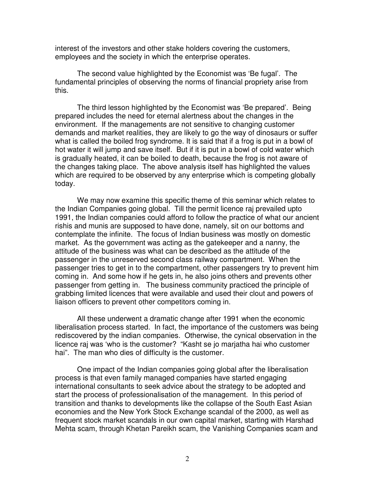interest of the investors and other stake holders covering the customers, employees and the society in which the enterprise operates.

The second value highlighted by the Economist was 'Be fugal'. The fundamental principles of observing the norms of financial propriety arise from this.

The third lesson highlighted by the Economist was 'Be prepared'. Being prepared includes the need for eternal alertness about the changes in the environment. If the managements are not sensitive to changing customer demands and market realities, they are likely to go the way of dinosaurs or suffer what is called the boiled frog syndrome. It is said that if a frog is put in a bowl of hot water it will jump and save itself. But if it is put in a bowl of cold water which is gradually heated, it can be boiled to death, because the frog is not aware of the changes taking place. The above analysis itself has highlighted the values which are required to be observed by any enterprise which is competing globally today.

 We may now examine this specific theme of this seminar which relates to the Indian Companies going global. Till the permit licence raj prevailed upto 1991, the Indian companies could afford to follow the practice of what our ancient rishis and munis are supposed to have done, namely, sit on our bottoms and contemplate the infinite. The focus of Indian business was mostly on domestic market. As the government was acting as the gatekeeper and a nanny, the attitude of the business was what can be described as the attitude of the passenger in the unreserved second class railway compartment. When the passenger tries to get in to the compartment, other passengers try to prevent him coming in. And some how if he gets in, he also joins others and prevents other passenger from getting in. The business community practiced the principle of grabbing limited licences that were available and used their clout and powers of liaison officers to prevent other competitors coming in.

All these underwent a dramatic change after 1991 when the economic liberalisation process started. In fact, the importance of the customers was being rediscovered by the indian companies. Otherwise, the cynical observation in the licence raj was 'who is the customer? "Kasht se jo marjatha hai who customer hai". The man who dies of difficulty is the customer.

One impact of the Indian companies going global after the liberalisation process is that even family managed companies have started engaging international consultants to seek advice about the strategy to be adopted and start the process of professionalisation of the management. In this period of transition and thanks to developments like the collapse of the South East Asian economies and the New York Stock Exchange scandal of the 2000, as well as frequent stock market scandals in our own capital market, starting with Harshad Mehta scam, through Khetan Pareikh scam, the Vanishing Companies scam and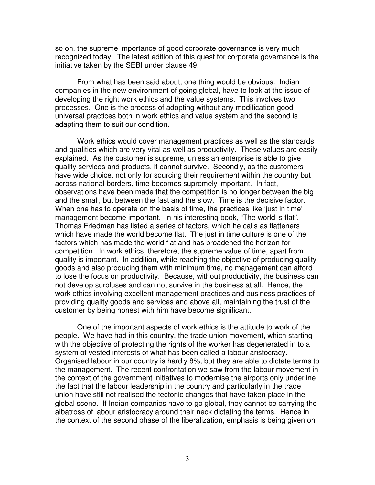so on, the supreme importance of good corporate governance is very much recognized today. The latest edition of this quest for corporate governance is the initiative taken by the SEBI under clause 49.

From what has been said about, one thing would be obvious. Indian companies in the new environment of going global, have to look at the issue of developing the right work ethics and the value systems. This involves two processes. One is the process of adopting without any modification good universal practices both in work ethics and value system and the second is adapting them to suit our condition.

Work ethics would cover management practices as well as the standards and qualities which are very vital as well as productivity. These values are easily explained. As the customer is supreme, unless an enterprise is able to give quality services and products, it cannot survive. Secondly, as the customers have wide choice, not only for sourcing their requirement within the country but across national borders, time becomes supremely important. In fact, observations have been made that the competition is no longer between the big and the small, but between the fast and the slow. Time is the decisive factor. When one has to operate on the basis of time, the practices like 'just in time' management become important. In his interesting book, "The world is flat", Thomas Friedman has listed a series of factors, which he calls as flatteners which have made the world become flat. The just in time culture is one of the factors which has made the world flat and has broadened the horizon for competition. In work ethics, therefore, the supreme value of time, apart from quality is important. In addition, while reaching the objective of producing quality goods and also producing them with minimum time, no management can afford to lose the focus on productivity. Because, without productivity, the business can not develop surpluses and can not survive in the business at all. Hence, the work ethics involving excellent management practices and business practices of providing quality goods and services and above all, maintaining the trust of the customer by being honest with him have become significant.

 One of the important aspects of work ethics is the attitude to work of the people. We have had in this country, the trade union movement, which starting with the objective of protecting the rights of the worker has degenerated in to a system of vested interests of what has been called a labour aristocracy. Organised labour in our country is hardly 8%, but they are able to dictate terms to the management. The recent confrontation we saw from the labour movement in the context of the government initiatives to modernise the airports only underline the fact that the labour leadership in the country and particularly in the trade union have still not realised the tectonic changes that have taken place in the global scene. If Indian companies have to go global, they cannot be carrying the albatross of labour aristocracy around their neck dictating the terms. Hence in the context of the second phase of the liberalization, emphasis is being given on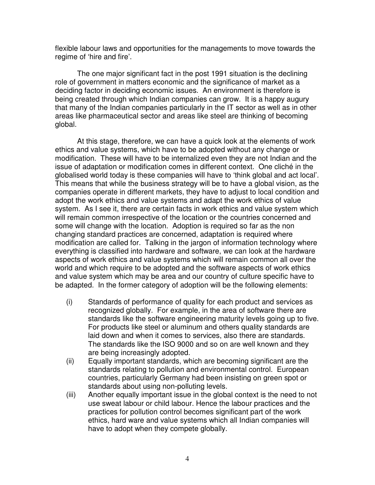flexible labour laws and opportunities for the managements to move towards the regime of 'hire and fire'.

The one major significant fact in the post 1991 situation is the declining role of government in matters economic and the significance of market as a deciding factor in deciding economic issues. An environment is therefore is being created through which Indian companies can grow. It is a happy augury that many of the Indian companies particularly in the IT sector as well as in other areas like pharmaceutical sector and areas like steel are thinking of becoming global.

 At this stage, therefore, we can have a quick look at the elements of work ethics and value systems, which have to be adopted without any change or modification. These will have to be internalized even they are not Indian and the issue of adaptation or modification comes in different context. One cliché in the globalised world today is these companies will have to 'think global and act local'. This means that while the business strategy will be to have a global vision, as the companies operate in different markets, they have to adjust to local condition and adopt the work ethics and value systems and adapt the work ethics of value system. As I see it, there are certain facts in work ethics and value system which will remain common irrespective of the location or the countries concerned and some will change with the location. Adoption is required so far as the non changing standard practices are concerned, adaptation is required where modification are called for. Talking in the jargon of information technology where everything is classified into hardware and software, we can look at the hardware aspects of work ethics and value systems which will remain common all over the world and which require to be adopted and the software aspects of work ethics and value system which may be area and our country of culture specific have to be adapted. In the former category of adoption will be the following elements:

- (i) Standards of performance of quality for each product and services as recognized globally. For example, in the area of software there are standards like the software engineering maturity levels going up to five. For products like steel or aluminum and others quality standards are laid down and when it comes to services, also there are standards. The standards like the ISO 9000 and so on are well known and they are being increasingly adopted.
- (ii) Equally important standards, which are becoming significant are the standards relating to pollution and environmental control. European countries, particularly Germany had been insisting on green spot or standards about using non-polluting levels.
- (iii) Another equally important issue in the global context is the need to not use sweat labour or child labour. Hence the labour practices and the practices for pollution control becomes significant part of the work ethics, hard ware and value systems which all Indian companies will have to adopt when they compete globally.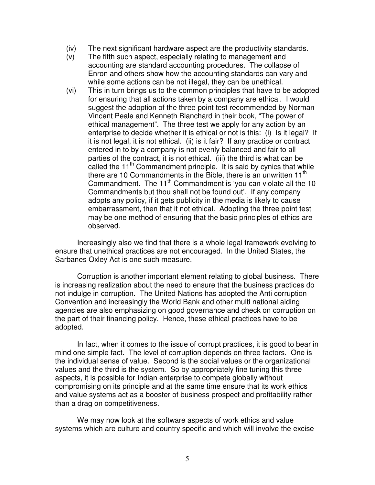- (iv) The next significant hardware aspect are the productivity standards.
- (v) The fifth such aspect, especially relating to management and accounting are standard accounting procedures. The collapse of Enron and others show how the accounting standards can vary and while some actions can be not illegal, they can be unethical.
- (vi) This in turn brings us to the common principles that have to be adopted for ensuring that all actions taken by a company are ethical. I would suggest the adoption of the three point test recommended by Norman Vincent Peale and Kenneth Blanchard in their book, "The power of ethical management". The three test we apply for any action by an enterprise to decide whether it is ethical or not is this: (i) Is it legal? If it is not legal, it is not ethical. (ii) is it fair? If any practice or contract entered in to by a company is not evenly balanced and fair to all parties of the contract, it is not ethical. (iii) the third is what can be called the 11<sup>th</sup> Commandment principle. It is said by cynics that while there are 10 Commandments in the Bible, there is an unwritten  $11<sup>th</sup>$ Commandment. The  $11<sup>th</sup>$  Commandment is 'you can violate all the 10 Commandments but thou shall not be found out'. If any company adopts any policy, if it gets publicity in the media is likely to cause embarrassment, then that it not ethical. Adopting the three point test may be one method of ensuring that the basic principles of ethics are observed.

Increasingly also we find that there is a whole legal framework evolving to ensure that unethical practices are not encouraged. In the United States, the Sarbanes Oxley Act is one such measure.

Corruption is another important element relating to global business. There is increasing realization about the need to ensure that the business practices do not indulge in corruption. The United Nations has adopted the Anti corruption Convention and increasingly the World Bank and other multi national aiding agencies are also emphasizing on good governance and check on corruption on the part of their financing policy. Hence, these ethical practices have to be adopted.

In fact, when it comes to the issue of corrupt practices, it is good to bear in mind one simple fact. The level of corruption depends on three factors. One is the individual sense of value. Second is the social values or the organizational values and the third is the system. So by appropriately fine tuning this three aspects, it is possible for Indian enterprise to compete globally without compromising on its principle and at the same time ensure that its work ethics and value systems act as a booster of business prospect and profitability rather than a drag on competitiveness.

We may now look at the software aspects of work ethics and value systems which are culture and country specific and which will involve the excise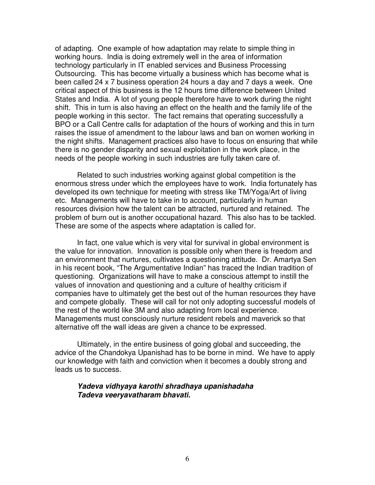of adapting. One example of how adaptation may relate to simple thing in working hours. India is doing extremely well in the area of information technology particularly in IT enabled services and Business Processing Outsourcing. This has become virtually a business which has become what is been called 24 x 7 business operation 24 hours a day and 7 days a week. One critical aspect of this business is the 12 hours time difference between United States and India. A lot of young people therefore have to work during the night shift. This in turn is also having an effect on the health and the family life of the people working in this sector. The fact remains that operating successfully a BPO or a Call Centre calls for adaptation of the hours of working and this in turn raises the issue of amendment to the labour laws and ban on women working in the night shifts. Management practices also have to focus on ensuring that while there is no gender disparity and sexual exploitation in the work place, in the needs of the people working in such industries are fully taken care of.

Related to such industries working against global competition is the enormous stress under which the employees have to work. India fortunately has developed its own technique for meeting with stress like TM/Yoga/Art of living etc. Managements will have to take in to account, particularly in human resources division how the talent can be attracted, nurtured and retained. The problem of burn out is another occupational hazard. This also has to be tackled. These are some of the aspects where adaptation is called for.

In fact, one value which is very vital for survival in global environment is the value for innovation. Innovation is possible only when there is freedom and an environment that nurtures, cultivates a questioning attitude. Dr. Amartya Sen in his recent book, "The Argumentative Indian" has traced the Indian tradition of questioning. Organizations will have to make a conscious attempt to instill the values of innovation and questioning and a culture of healthy criticism if companies have to ultimately get the best out of the human resources they have and compete globally. These will call for not only adopting successful models of the rest of the world like 3M and also adapting from local experience. Managements must consciously nurture resident rebels and maverick so that alternative off the wall ideas are given a chance to be expressed.

Ultimately, in the entire business of going global and succeeding, the advice of the Chandokya Upanishad has to be borne in mind. We have to apply our knowledge with faith and conviction when it becomes a doubly strong and leads us to success.

## **Yadeva vidhyaya karothi shradhaya upanishadaha Tadeva veeryavatharam bhavati.**